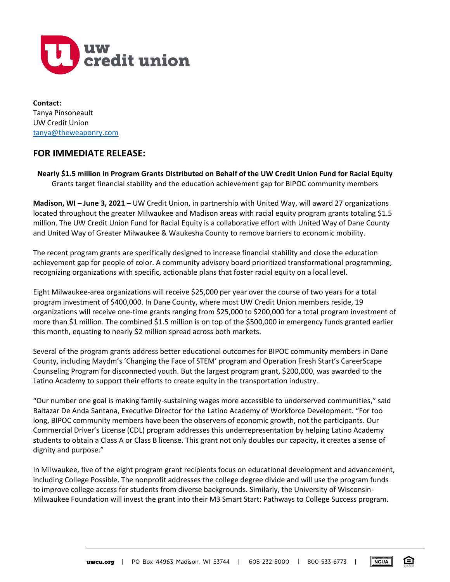

**Contact:** Tanya Pinsoneault UW Credit Union [tanya@theweaponry.com](about:blank)

## **FOR IMMEDIATE RELEASE:**

**Nearly \$1.5 million in Program Grants Distributed on Behalf of the UW Credit Union Fund for Racial Equity** Grants target financial stability and the education achievement gap for BIPOC community members

**Madison, WI – June 3, 2021** – UW Credit Union, in partnership with United Way, will award 27 organizations located throughout the greater Milwaukee and Madison areas with racial equity program grants totaling \$1.5 million. The UW Credit Union Fund for Racial Equity is a collaborative effort with United Way of Dane County and United Way of Greater Milwaukee & Waukesha County to remove barriers to economic mobility.

The recent program grants are specifically designed to increase financial stability and close the education achievement gap for people of color. A community advisory board prioritized transformational programming, recognizing organizations with specific, actionable plans that foster racial equity on a local level.

Eight Milwaukee-area organizations will receive \$25,000 per year over the course of two years for a total program investment of \$400,000. In Dane County, where most UW Credit Union members reside, 19 organizations will receive one-time grants ranging from \$25,000 to \$200,000 for a total program investment of more than \$1 million. The combined \$1.5 million is on top of the \$500,000 in emergency funds granted earlier this month, equating to nearly \$2 million spread across both markets.

Several of the program grants address better educational outcomes for BIPOC community members in Dane County, including Maydm's 'Changing the Face of STEM' program and Operation Fresh Start's CareerScape Counseling Program for disconnected youth. But the largest program grant, \$200,000, was awarded to the Latino Academy to support their efforts to create equity in the transportation industry.

"Our number one goal is making family-sustaining wages more accessible to underserved communities," said Baltazar De Anda Santana, Executive Director for the Latino Academy of Workforce Development. "For too long, BIPOC community members have been the observers of economic growth, not the participants. Our Commercial Driver's License (CDL) program addresses this underrepresentation by helping Latino Academy students to obtain a Class A or Class B license. This grant not only doubles our capacity, it creates a sense of dignity and purpose."

In Milwaukee, five of the eight program grant recipients focus on educational development and advancement, including College Possible. The nonprofit addresses the college degree divide and will use the program funds to improve college access for students from diverse backgrounds. Similarly, the University of Wisconsin-Milwaukee Foundation will invest the grant into their M3 Smart Start: Pathways to College Success program.

**NCUA** 

☎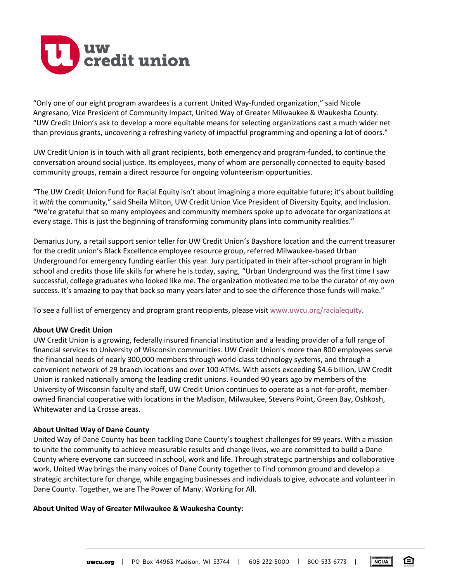

"Only one of our eight program awardees is a current United Way-funded organization," said Nicole Angresano, Vice President of Community Impact, United Way of Greater Milwaukee & Waukesha County. "UW Credit Union's ask to develop a more equitable means for selecting organizations cast a much wider net than previous grants, uncovering a refreshing variety of impactful programming and opening a lot of doors."

UW Credit Union is in touch with all grant recipients, both emergency and program-funded, to continue the conversation around social justice. Its employees, many of whom are personally connected to equity-based community groups, remain a direct resource for ongoing volunteerism opportunities.

"The UW Credit Union Fund for Racial Equity isn't about imagining a more equitable future; it's about building it *with* the community," said Sheila Milton, UW Credit Union Vice President of Diversity Equity, and Inclusion. "We're grateful that so many employees and community members spoke up to advocate for organizations at every stage. This is just the beginning of transforming community plans into community realities."

Demarius Jury, a retail support senior teller for UW Credit Union's Bayshore location and the current treasurer for the credit union's Black Excellence employee resource group, referred Milwaukee-based Urban Underground for emergency funding earlier this year. Jury participated in their after-school program in high school and credits those life skills for where he is today, saying, "Urban Underground was the first time I saw successful, college graduates who looked like me. The organization motivated me to be the curator of my own success. It's amazing to pay that back so many years later and to see the difference those funds will make."

To see a full list of emergency and program grant recipients, please visit [www.uwcu.org/racialequity.](http://www.uwcu.org/racialequity)

## **About UW Credit Union**

UW Credit Union is a growing, federally insured financial institution and a leading provider of a full range of financial services to University of Wisconsin communities. UW Credit Union's more than 800 employees serve the financial needs of nearly 300,000 members through world-class technology systems, and through a convenient network of 29 branch locations and over 100 ATMs. With assets exceeding \$4.6 billion, UW Credit Union is ranked nationally among the leading credit unions. Founded 90 years ago by members of the University of Wisconsin faculty and staff, UW Credit Union continues to operate as a not-for-profit, memberowned financial cooperative with locations in the Madison, Milwaukee, Stevens Point, Green Bay, Oshkosh, Whitewater and La Crosse areas.

## **About United Way of Dane County**

United Way of Dane County has been tackling Dane County's toughest challenges for 99 years. With a mission to unite the community to achieve measurable results and change lives, we are committed to build a Dane County where everyone can succeed in school, work and life. Through strategic partnerships and collaborative work, United Way brings the many voices of Dane County together to find common ground and develop a strategic architecture for change, while engaging businesses and individuals to give, advocate and volunteer in Dane County. Together, we are The Power of Many. Working for All.

## **About United Way of Greater Milwaukee & Waukesha County:**